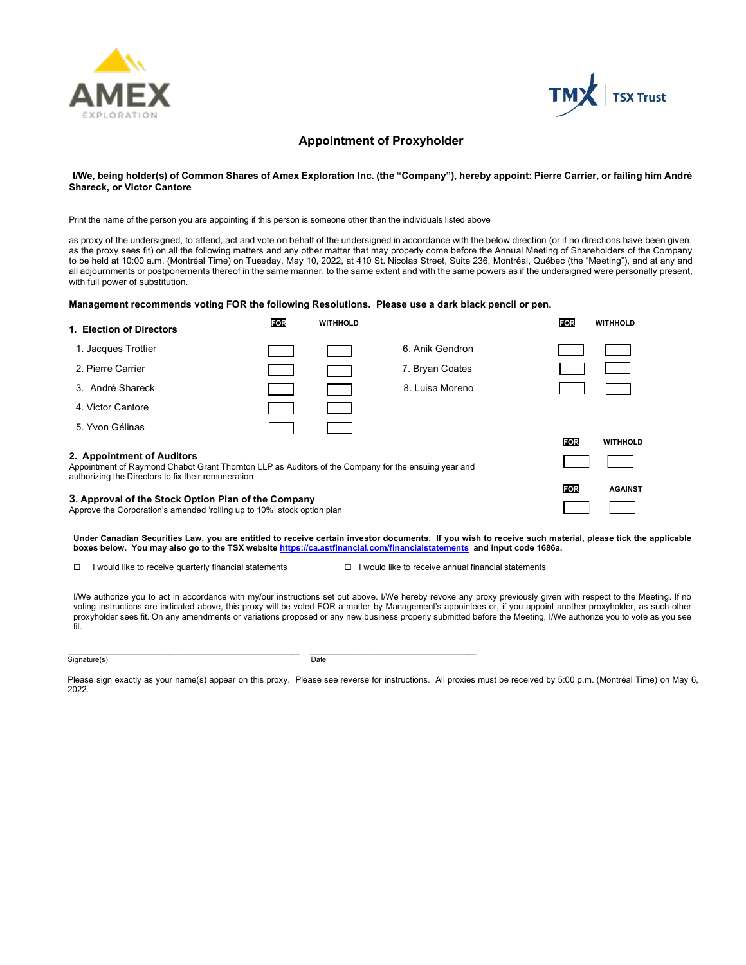



#### **Appointment of Proxyholder**

**I/We, being holder(s) of Common Shares of Amex Exploration Inc. (the "Company"), hereby appoint: Pierre Carrier, or failing him André Shareck, or Victor Cantore**

\_\_\_\_\_\_\_\_\_\_\_\_\_\_\_\_\_\_\_\_\_\_\_\_\_\_\_\_\_\_\_\_\_\_\_\_\_\_\_\_\_\_\_\_\_\_\_\_\_\_\_\_\_\_\_\_\_\_\_\_\_\_\_\_\_\_\_\_\_\_\_\_\_\_\_\_\_\_\_ Print the name of the person you are appointing if this person is someone other than the individuals listed above

as proxy of the undersigned, to attend, act and vote on behalf of the undersigned in accordance with the below direction (or if no directions have been given, as the proxy sees fit) on all the following matters and any other matter that may properly come before the Annual Meeting of Shareholders of the Company to be held at 10:00 a.m. (Montréal Time) on Tuesday, May 10, 2022, at 410 St. Nicolas Street, Suite 236, Montréal, Québec (the "Meeting"), and at any and all adjournments or postponements thereof in the same manner, to the same extent and with the same powers as if the undersigned were personally present, with full power of substitution.

#### **Management recommends voting FOR the following Resolutions. Please use a dark black pencil or pen.**

| 1. Election of Directors                                                                                                                                                                  | <b>FOR</b> | <b>WITHHOLD</b> |                 | <b>FOR</b> | <b>WITHHOLD</b> |
|-------------------------------------------------------------------------------------------------------------------------------------------------------------------------------------------|------------|-----------------|-----------------|------------|-----------------|
| 1. Jacques Trottier                                                                                                                                                                       |            |                 | 6. Anik Gendron |            |                 |
| 2. Pierre Carrier                                                                                                                                                                         |            |                 | 7. Bryan Coates |            |                 |
| 3. André Shareck                                                                                                                                                                          |            |                 | 8. Luisa Moreno |            |                 |
| 4. Victor Cantore                                                                                                                                                                         |            |                 |                 |            |                 |
| 5. Yvon Gélinas                                                                                                                                                                           |            |                 |                 |            |                 |
|                                                                                                                                                                                           |            |                 |                 | <b>FOR</b> | <b>WITHHOLD</b> |
| 2. Appointment of Auditors<br>Appointment of Raymond Chabot Grant Thornton LLP as Auditors of the Company for the ensuing year and<br>authorizing the Directors to fix their remuneration |            |                 |                 |            |                 |
|                                                                                                                                                                                           |            |                 |                 | <b>FOR</b> | <b>AGAINST</b>  |
| 3. Approval of the Stock Option Plan of the Company<br>Approve the Corporation's amended 'rolling up to 10%' stock option plan                                                            |            |                 |                 |            |                 |

 **Under Canadian Securities Law, you are entitled to receive certain investor documents. If you wish to receive such material, please tick the applicable boxes below. You may also go to the TSX website<https://ca.astfinancial.com/financialstatements> and input code 1686a.**

 $\Box$  I would like to receive quarterly financial statements  $\Box$  I would like to receive annual financial statements

I/We authorize you to act in accordance with my/our instructions set out above. I/We hereby revoke any proxy previously given with respect to the Meeting. If no voting instructions are indicated above, this proxy will be voted FOR a matter by Management's appointees or, if you appoint another proxyholder, as such other proxyholder sees fit. On any amendments or variations proposed or any new business properly submitted before the Meeting, I/We authorize you to vote as you see fit.

#### \_\_\_\_\_\_\_\_\_\_\_\_\_\_\_\_\_\_\_\_\_\_\_\_\_\_\_\_\_\_\_\_\_\_\_\_\_\_\_\_\_\_\_\_\_\_\_\_\_\_\_\_\_\_\_\_\_ \_\_\_\_\_\_\_\_\_\_\_\_\_\_\_\_\_\_\_\_\_\_\_\_\_\_\_\_\_\_\_\_\_\_\_\_\_\_\_\_\_ Signature(s) Date

Please sign exactly as your name(s) appear on this proxy. Please see reverse for instructions. All proxies must be received by 5:00 p.m. (Montréal Time) on May 6, 2022.